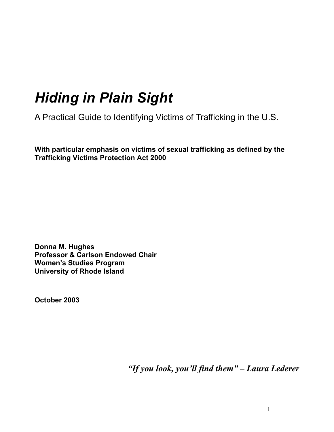# *Hiding in Plain Sight*

A Practical Guide to Identifying Victims of Trafficking in the U.S.

**With particular emphasis on victims of sexual trafficking as defined by the Trafficking Victims Protection Act 2000** 

**Donna M. Hughes Professor & Carlson Endowed Chair Women's Studies Program University of Rhode Island** 

**October 2003** 

*"If you look, you'll find them" – Laura Lederer*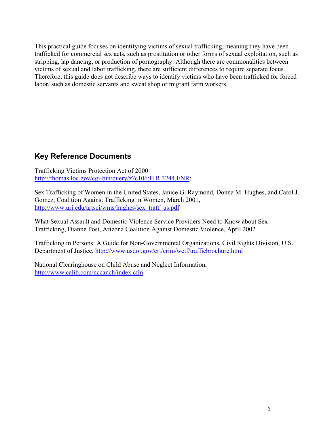This practical guide focuses on identifying victims of sexual trafficking, meaning they have been trafficked for commercial sex acts, such as prostitution or other forms of sexual exploitation, such as stripping, lap dancing, or production of pornography. Although there are commonalities between victims of sexual and labor trafficking, there are sufficient differences to require separate focus. Therefore, this guide does not describe ways to identify victims who have been trafficked for forced labor, such as domestic servants and sweat shop or migrant farm workers.

## **Key Reference Documents**

Trafficking Victims Protection Act of 2000 [http://thomas.loc.gov/cgi-bin/query/z?c106:H.R.3244.ENR:](http://thomas.loc.gov/cgi-bin/query/z?c106:H.R.3244.ENR)

Sex Trafficking of Women in the United States, Janice G. Raymond, Donna M. Hughes, and Carol J. Gomez, Coalition Against Trafficking in Women, March 2001, [http://www.uri.edu/artsci/wms/hughes/sex\\_traff\\_us.pdf](http://www.uri.edu/artsci/wms/hughes/sex_traff_us.pdf) 

What Sexual Assault and Domestic Violence Service Providers Need to Know about Sex Trafficking, Dianne Post, Arizona Coalition Against Domestic Violence, April 2002

Trafficking in Persons: A Guide for Non-Governmental Organizations, Civil Rights Division, U.S. Department of Justice, <http://www.usdoj.gov/crt/crim/wetf/trafficbrochure.html>

National Clearinghouse on Child Abuse and Neglect Information, <http://www.calib.com/nccanch/index.cfm>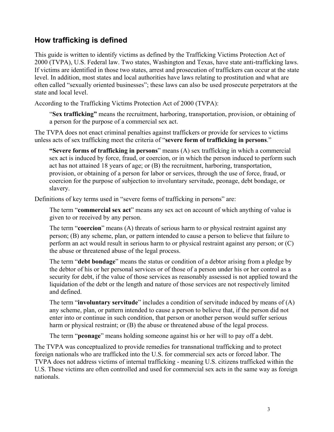# **How trafficking is defined**

This guide is written to identify victims as defined by the Trafficking Victims Protection Act of 2000 (TVPA), U.S. Federal law. Two states, Washington and Texas, have state anti-trafficking laws. If victims are identified in those two states, arrest and prosecution of traffickers can occur at the state level. In addition, most states and local authorities have laws relating to prostitution and what are often called "sexually oriented businesses"; these laws can also be used prosecute perpetrators at the state and local level.

According to the Trafficking Victims Protection Act of 2000 (TVPA):

"**Sex trafficking"** means the recruitment, harboring, transportation, provision, or obtaining of a person for the purpose of a commercial sex act.

The TVPA does not enact criminal penalties against traffickers or provide for services to victims unless acts of sex trafficking meet the criteria of "**severe form of trafficking in persons**."

**"Severe forms of trafficking in persons**" means (A) sex trafficking in which a commercial sex act is induced by force, fraud, or coercion, or in which the person induced to perform such act has not attained 18 years of age; or (B) the recruitment, harboring, transportation, provision, or obtaining of a person for labor or services, through the use of force, fraud, or coercion for the purpose of subjection to involuntary servitude, peonage, debt bondage, or slavery.

Definitions of key terms used in "severe forms of trafficking in persons" are:

The term "**commercial sex act**" means any sex act on account of which anything of value is given to or received by any person.

The term "**coercion**" means (A) threats of serious harm to or physical restraint against any person; (B) any scheme, plan, or pattern intended to cause a person to believe that failure to perform an act would result in serious harm to or physical restraint against any person; or (C) the abuse or threatened abuse of the legal process.

The term "**debt bondage**" means the status or condition of a debtor arising from a pledge by the debtor of his or her personal services or of those of a person under his or her control as a security for debt, if the value of those services as reasonably assessed is not applied toward the liquidation of the debt or the length and nature of those services are not respectively limited and defined.

The term "**involuntary servitude**" includes a condition of servitude induced by means of (A) any scheme, plan, or pattern intended to cause a person to believe that, if the person did not enter into or continue in such condition, that person or another person would suffer serious harm or physical restraint; or (B) the abuse or threatened abuse of the legal process.

The term "**peonage**" means holding someone against his or her will to pay off a debt.

The TVPA was conceptualized to provide remedies for transnational trafficking and to protect foreign nationals who are trafficked into the U.S. for commercial sex acts or forced labor. The TVPA does not address victims of internal trafficking - meaning U.S. citizens trafficked within the U.S. These victims are often controlled and used for commercial sex acts in the same way as foreign nationals.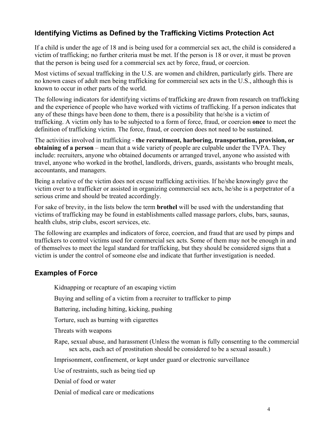## **Identifying Victims as Defined by the Trafficking Victims Protection Act**

If a child is under the age of 18 and is being used for a commercial sex act, the child is considered a victim of trafficking; no further criteria must be met. If the person is 18 or over, it must be proven that the person is being used for a commercial sex act by force, fraud, or coercion.

Most victims of sexual trafficking in the U.S. are women and children, particularly girls. There are no known cases of adult men being trafficking for commercial sex acts in the U.S., although this is known to occur in other parts of the world.

The following indicators for identifying victims of trafficking are drawn from research on trafficking and the experience of people who have worked with victims of trafficking. If a person indicates that any of these things have been done to them, there is a possibility that he/she is a victim of trafficking. A victim only has to be subjected to a form of force, fraud, or coercion **once** to meet the definition of trafficking victim. The force, fraud, or coercion does not need to be sustained.

The activities involved in trafficking - **the recruitment, harboring, transportation, provision, or obtaining of a person** – mean that a wide variety of people are culpable under the TVPA. They include: recruiters, anyone who obtained documents or arranged travel, anyone who assisted with travel, anyone who worked in the brothel, landlords, drivers, guards, assistants who brought meals, accountants, and managers.

Being a relative of the victim does not excuse trafficking activities. If he/she knowingly gave the victim over to a trafficker or assisted in organizing commercial sex acts, he/she is a perpetrator of a serious crime and should be treated accordingly.

For sake of brevity, in the lists below the term **brothel** will be used with the understanding that victims of trafficking may be found in establishments called massage parlors, clubs, bars, saunas, health clubs, strip clubs, escort services, etc.

The following are examples and indicators of force, coercion, and fraud that are used by pimps and traffickers to control victims used for commercial sex acts. Some of them may not be enough in and of themselves to meet the legal standard for trafficking, but they should be considered signs that a victim is under the control of someone else and indicate that further investigation is needed.

### **Examples of Force**

Kidnapping or recapture of an escaping victim

Buying and selling of a victim from a recruiter to trafficker to pimp

Battering, including hitting, kicking, pushing

Torture, such as burning with cigarettes

Threats with weapons

Rape, sexual abuse, and harassment (Unless the woman is fully consenting to the commercial sex acts, each act of prostitution should be considered to be a sexual assault.)

Imprisonment, confinement, or kept under guard or electronic surveillance

Use of restraints, such as being tied up

Denial of food or water

Denial of medical care or medications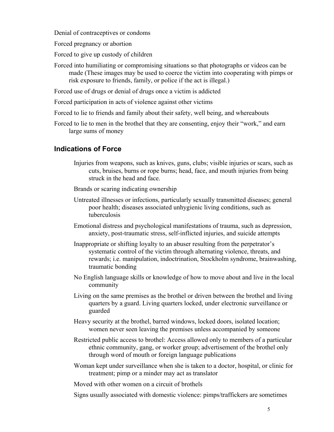Denial of contraceptives or condoms

Forced pregnancy or abortion

Forced to give up custody of children

Forced into humiliating or compromising situations so that photographs or videos can be made (These images may be used to coerce the victim into cooperating with pimps or risk exposure to friends, family, or police if the act is illegal.)

Forced use of drugs or denial of drugs once a victim is addicted

Forced participation in acts of violence against other victims

- Forced to lie to friends and family about their safety, well being, and whereabouts
- Forced to lie to men in the brothel that they are consenting, enjoy their "work," and earn large sums of money

#### **Indications of Force**

Injuries from weapons, such as knives, guns, clubs; visible injuries or scars, such as cuts, bruises, burns or rope burns; head, face, and mouth injuries from being struck in the head and face.

Brands or scaring indicating ownership

- Untreated illnesses or infections, particularly sexually transmitted diseases; general poor health; diseases associated unhygienic living conditions, such as tuberculosis
- Emotional distress and psychological manifestations of trauma, such as depression, anxiety, post-traumatic stress, self-inflicted injuries, and suicide attempts
- Inappropriate or shifting loyalty to an abuser resulting from the perpetrator's systematic control of the victim through alternating violence, threats, and rewards; i.e. manipulation, indoctrination, Stockholm syndrome, brainwashing, traumatic bonding
- No English language skills or knowledge of how to move about and live in the local community
- Living on the same premises as the brothel or driven between the brothel and living quarters by a guard. Living quarters locked, under electronic surveillance or guarded
- Heavy security at the brothel, barred windows, locked doors, isolated location; women never seen leaving the premises unless accompanied by someone
- Restricted public access to brothel: Access allowed only to members of a particular ethnic community, gang, or worker group; advertisement of the brothel only through word of mouth or foreign language publications
- Woman kept under surveillance when she is taken to a doctor, hospital, or clinic for treatment; pimp or a minder may act as translator

Moved with other women on a circuit of brothels

Signs usually associated with domestic violence: pimps/traffickers are sometimes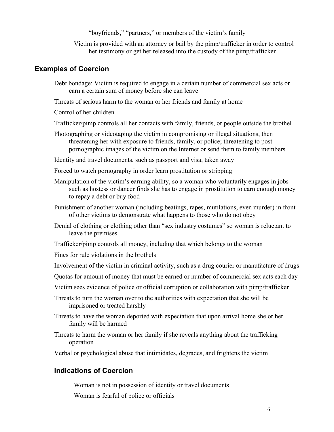"boyfriends," "partners," or members of the victim's family

Victim is provided with an attorney or bail by the pimp/trafficker in order to control her testimony or get her released into the custody of the pimp/trafficker

#### **Examples of Coercion**

Debt bondage: Victim is required to engage in a certain number of commercial sex acts or earn a certain sum of money before she can leave

Threats of serious harm to the woman or her friends and family at home

Control of her children

Trafficker/pimp controls all her contacts with family, friends, or people outside the brothel

Photographing or videotaping the victim in compromising or illegal situations, then threatening her with exposure to friends, family, or police; threatening to post pornographic images of the victim on the Internet or send them to family members

Identity and travel documents, such as passport and visa, taken away

Forced to watch pornography in order learn prostitution or stripping

- Manipulation of the victim's earning ability, so a woman who voluntarily engages in jobs such as hostess or dancer finds she has to engage in prostitution to earn enough money to repay a debt or buy food
- Punishment of another woman (including beatings, rapes, mutilations, even murder) in front of other victims to demonstrate what happens to those who do not obey
- Denial of clothing or clothing other than "sex industry costumes" so woman is reluctant to leave the premises
- Trafficker/pimp controls all money, including that which belongs to the woman

Fines for rule violations in the brothels

Involvement of the victim in criminal activity, such as a drug courier or manufacture of drugs

Quotas for amount of money that must be earned or number of commercial sex acts each day

Victim sees evidence of police or official corruption or collaboration with pimp/trafficker

Threats to turn the woman over to the authorities with expectation that she will be imprisoned or treated harshly

Threats to have the woman deported with expectation that upon arrival home she or her family will be harmed

Threats to harm the woman or her family if she reveals anything about the trafficking operation

Verbal or psychological abuse that intimidates, degrades, and frightens the victim

#### **Indications of Coercion**

Woman is not in possession of identity or travel documents

Woman is fearful of police or officials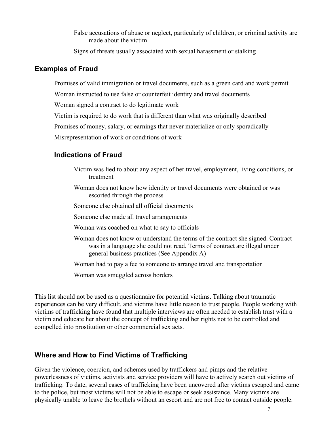- False accusations of abuse or neglect, particularly of children, or criminal activity are made about the victim
- Signs of threats usually associated with sexual harassment or stalking

#### **Examples of Fraud**

Promises of valid immigration or travel documents, such as a green card and work permit

Woman instructed to use false or counterfeit identity and travel documents

Woman signed a contract to do legitimate work

Victim is required to do work that is different than what was originally described

Promises of money, salary, or earnings that never materialize or only sporadically

Misrepresentation of work or conditions of work

## **Indications of Fraud**

- Victim was lied to about any aspect of her travel, employment, living conditions, or treatment
- Woman does not know how identity or travel documents were obtained or was escorted through the process

Someone else obtained all official documents

Someone else made all travel arrangements

- Woman was coached on what to say to officials
- Woman does not know or understand the terms of the contract she signed. Contract was in a language she could not read. Terms of contract are illegal under general business practices (See Appendix A)
- Woman had to pay a fee to someone to arrange travel and transportation

Woman was smuggled across borders

This list should not be used as a questionnaire for potential victims. Talking about traumatic experiences can be very difficult, and victims have little reason to trust people. People working with victims of trafficking have found that multiple interviews are often needed to establish trust with a victim and educate her about the concept of trafficking and her rights not to be controlled and compelled into prostitution or other commercial sex acts.

## **Where and How to Find Victims of Trafficking**

Given the violence, coercion, and schemes used by traffickers and pimps and the relative powerlessness of victims, activists and service providers will have to actively search out victims of trafficking. To date, several cases of trafficking have been uncovered after victims escaped and came to the police, but most victims will not be able to escape or seek assistance. Many victims are physically unable to leave the brothels without an escort and are not free to contact outside people.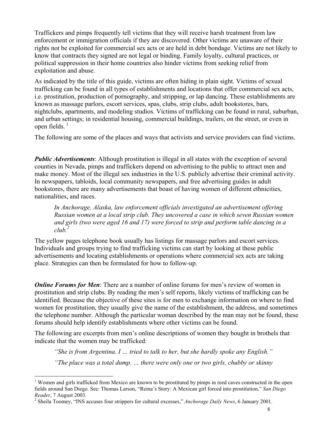Traffickers and pimps frequently tell victims that they will receive harsh treatment from law enforcement or immigration officials if they are discovered. Other victims are unaware of their rights not be exploited for commercial sex acts or are held in debt bondage. Victims are not likely to know that contracts they signed are not legal or binding. Family loyalty, cultural practices, or political suppression in their home countries also hinder victims from seeking relief from exploitation and abuse.

As indicated by the title of this guide, victims are often hiding in plain sight. Victims of sexual trafficking can be found in all types of establishments and locations that offer commercial sex acts, i.e. prostitution, production of pornography, and stripping, or lap dancing. These establishments are known as massage parlors, escort services, spas, clubs, strip clubs, adult bookstores, bars, nightclubs, apartments, and modeling studios. Victims of trafficking can be found in rural, suburban, and urban settings; in residential housing, commercial buildings, trailers, on the street, or even in open fields. $<sup>1</sup>$ </sup>

The following are some of the places and ways that activists and service providers can find victims.

**Public Advertisements**: Although prostitution is illegal in all states with the exception of several counties in Nevada, pimps and traffickers depend on advertising to the public to attract men and make money. Most of the illegal sex industries in the U.S. publicly advertise their criminal activity. In newspapers, tabloids, local community newspapers, and free advertising guides in adult bookstores, there are many advertisements that boast of having women of different ethnicities, nationalities, and races.

*In Anchorage, Alaska, law enforcement officials investigated an advertisement offering Russian women at a local strip club. They uncovered a case in which seven Russian women and girls (two were aged 16 and 17) were forced to strip and perform table dancing in a*   $\frac{club^2}{2}$ 

The yellow pages telephone book usually has listings for massage parlors and escort services. Individuals and groups trying to find trafficking victims can start by looking at these public advertisements and locating establishments or operations where commercial sex acts are taking place. Strategies can then be formulated for how to follow-up.

*Online Forums for Men:* There are a number of online forums for men's review of women in prostitution and strip clubs. By reading the men's self reports, likely victims of trafficking can be identified. Because the objective of these sites is for men to exchange information on where to find women for prostitution, they usually give the name of the establishment, the address, and sometimes the telephone number. Although the particular woman described by the man may not be found, these forums should help identify establishments where other victims can be found.

The following are excerpts from men's online descriptions of women they bought in brothels that indicate that the women may be trafficked:

*"She is from Argentina. I … tried to talk to her, but she hardly spoke any English."* 

*"The place was a total dump. … there were only one or two girls, chubby or skinny* 

1

<span id="page-7-0"></span><sup>&</sup>lt;sup>1</sup> Women and girls trafficked from Mexico are known to be prostituted by pimps in reed caves constructed in the open fields around San Diego. See: Thomas Larson, "Reina's Story: A Mexican girl forced into prostitution," *San Diego Reader*, 7 August 2003.

<span id="page-7-1"></span>Sheila Toomey, "INS accuses four strippers for cultural excesses," *Anchorage Daily News*, 6 January 2001.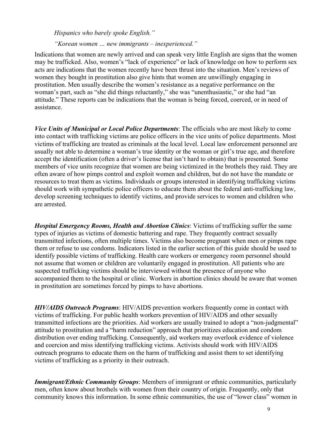*Hispanics who barely spoke English."* 

*"Korean women … new immigrants – inexperienced."* 

Indications that women are newly arrived and can speak very little English are signs that the women may be trafficked. Also, women's "lack of experience" or lack of knowledge on how to perform sex acts are indications that the women recently have been thrust into the situation. Men's reviews of women they bought in prostitution also give hints that women are unwillingly engaging in prostitution. Men usually describe the women's resistance as a negative performance on the woman's part, such as "she did things reluctantly," she was "unenthusiastic," or she had "an attitude." These reports can be indications that the woman is being forced, coerced, or in need of assistance.

*Vice Units of Municipal or Local Police Departments*: The officials who are most likely to come into contact with trafficking victims are police officers in the vice units of police departments. Most victims of trafficking are treated as criminals at the local level. Local law enforcement personnel are usually not able to determine a woman's true identity or the woman or girl's true age, and therefore accept the identification (often a driver's license that isn't hard to obtain) that is presented. Some members of vice units recognize that women are being victimized in the brothels they raid. They are often aware of how pimps control and exploit women and children, but do not have the mandate or resources to treat them as victims. Individuals or groups interested in identifying trafficking victims should work with sympathetic police officers to educate them about the federal anti-trafficking law, develop screening techniques to identify victims, and provide services to women and children who are arrested.

*Hospital Emergency Rooms, Health and Abortion Clinics*: Victims of trafficking suffer the same types of injuries as victims of domestic battering and rape. They frequently contract sexually transmitted infections, often multiple times. Victims also become pregnant when men or pimps rape them or refuse to use condoms. Indicators listed in the earlier section of this guide should be used to identify possible victims of trafficking. Health care workers or emergency room personnel should not assume that women or children are voluntarily engaged in prostitution. All patients who are suspected trafficking victims should be interviewed without the presence of anyone who accompanied them to the hospital or clinic. Workers in abortion clinics should be aware that women in prostitution are sometimes forced by pimps to have abortions.

*HIV/AIDS Outreach Programs*: HIV/AIDS prevention workers frequently come in contact with victims of trafficking. For public health workers prevention of HIV/AIDS and other sexually transmitted infections are the priorities. Aid workers are usually trained to adopt a "non-judgmental" attitude to prostitution and a "harm reduction" approach that prioritizes education and condom distribution over ending trafficking. Consequently, aid workers may overlook evidence of violence and coercion and miss identifying trafficking victims. Activists should work with HIV/AIDS outreach programs to educate them on the harm of trafficking and assist them to set identifying victims of trafficking as a priority in their outreach.

*Immigrant/Ethnic Community Groups*: Members of immigrant or ethnic communities, particularly men, often know about brothels with women from their country of origin. Frequently, only that community knows this information. In some ethnic communities, the use of "lower class" women in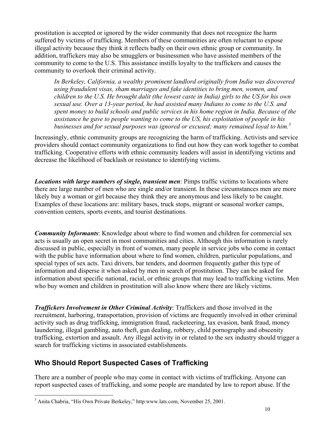prostitution is accepted or ignored by the wider community that does not recognize the harm suffered by victims of trafficking. Members of these communities are often reluctant to expose illegal activity because they think it reflects badly on their own ethnic group or community. In addition, traffickers may also be smugglers or businessmen who have assisted members of the community to come to the U.S. This assistance instills loyalty to the traffickers and causes the community to overlook their criminal activity.

*In Berkeley, California, a wealthy prominent landlord originally from India was discovered using fraudulent visas, sham marriages and fake identities to bring men, women, and children to the U.S. He brought dalit (the lowest caste in India) girls to the US for his own sexual use. Over a 13-year period, he had assisted many Indians to come to the U.S. and spent money to build schools and public services in his home region in India. Because of the assistance he gave to people wanting to come to the US, his exploitation of people in his businesses and for sexual purposes was ignored or excused; many remained loyal to him.<sup>3</sup>* 

Increasingly, ethnic community groups are recognizing the harm of trafficking. Activists and service providers should contact community organizations to find out how they can work together to combat trafficking. Cooperative efforts with ethnic community leaders will assist in identifying victims and decrease the likelihood of backlash or resistance to identifying victims.

*Locations with large numbers of single, transient men*: Pimps traffic victims to locations where there are large number of men who are single and/or transient. In these circumstances men are more likely buy a woman or girl because they think they are anonymous and less likely to be caught. Examples of these locations are: military bases, truck stops, migrant or seasonal worker camps, convention centers, sports events, and tourist destinations.

*Community Informants*: Knowledge about where to find women and children for commercial sex acts is usually an open secret in most communities and cities. Although this information is rarely discussed in public, especially in front of women, many people in service jobs who come in contact with the public have information about where to find women, children, particular populations, and special types of sex acts. Taxi drivers, bar tenders, and doormen frequently gather this type of information and disperse it when asked by men in search of prostitution. They can be asked for information about specific national, racial, or ethnic groups that may lead to trafficking victims. Men who buy women and children in prostitution will also know where there are likely victims.

*Traffickers Involvement in Other Criminal Activity*: Traffickers and those involved in the recruitment, harboring, transportation, provision of victims are frequently involved in other criminal activity such as drug trafficking, immigration fraud, racketeering, tax evasion, bank fraud, money laundering, illegal gambling, auto theft, gun dealing, robbery, child pornography and obscenity trafficking, extortion and assault. Any illegal activity in or related to the sex industry should trigger a search for trafficking victims in associated establishments.

## **Who Should Report Suspected Cases of Trafficking**

1

There are a number of people who may come in contact with victims of trafficking. Anyone can report suspected cases of trafficking, and some people are mandated by law to report abuse. If the

<span id="page-9-0"></span><sup>&</sup>lt;sup>3</sup> Anita Chabria, "His Own Private Berkeley," http:www.lats.com, November 25, 2001.